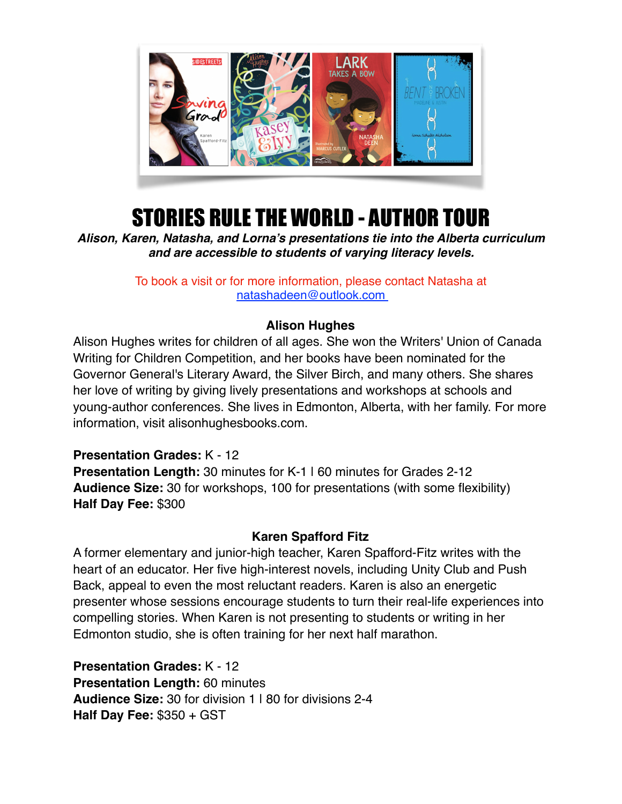

# STORIES RULE THE WORLD - AUTHOR TOUR

*Alison, Karen, Natasha, and Lorna's presentations tie into the Alberta curriculum and are accessible to students of varying literacy levels.*

> To book a visit or for more information, please contact Natasha at [natashadeen@outlook.com](mailto:natashadeen@outlook.com)

## **Alison Hughes**

Alison Hughes writes for children of all ages. She won the Writers' Union of Canada Writing for Children Competition, and her books have been nominated for the Governor General's Literary Award, the Silver Birch, and many others. She shares her love of writing by giving lively presentations and workshops at schools and young-author conferences. She lives in Edmonton, Alberta, with her family. For more information, visit alisonhughesbooks.com.

**Presentation Grades:** K - 12 **Presentation Length:** 30 minutes for K-1 | 60 minutes for Grades 2-12 **Audience Size:** 30 for workshops, 100 for presentations (with some flexibility) **Half Day Fee:** \$300

#### **Karen Spafford Fitz**

A former elementary and junior-high teacher, Karen Spafford-Fitz writes with the heart of an educator. Her five high-interest novels, including Unity Club and Push Back, appeal to even the most reluctant readers. Karen is also an energetic presenter whose sessions encourage students to turn their real-life experiences into compelling stories. When Karen is not presenting to students or writing in her Edmonton studio, she is often training for her next half marathon.

**Presentation Grades:** K - 12 **Presentation Length:** 60 minutes **Audience Size:** 30 for division 1 | 80 for divisions 2-4 **Half Day Fee:** \$350 + GST